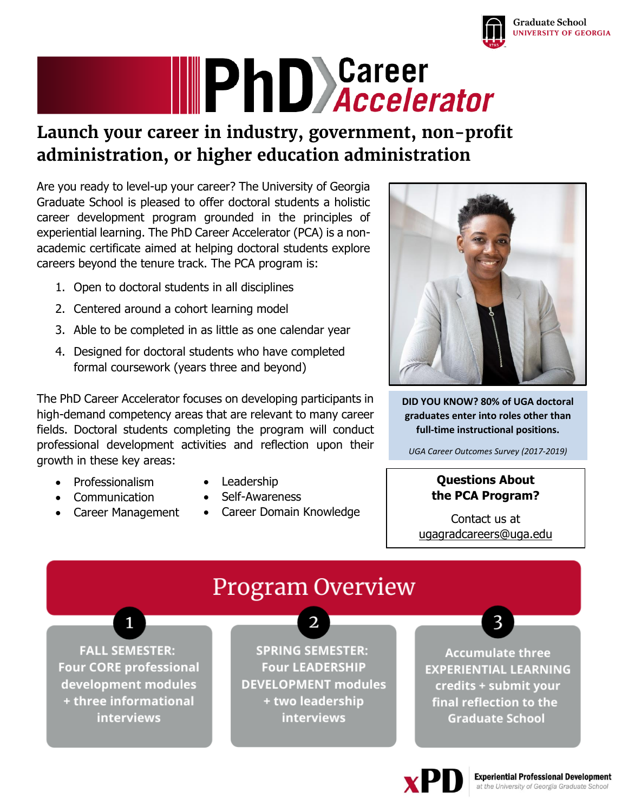

# **IIIPhD** Sareer

# **Launch your career in industry, government, non-profit administration, or higher education administration**

Are you ready to level-up your career? The University of Georgia Graduate School is pleased to offer doctoral students a holistic career development program grounded in the principles of experiential learning. The PhD Career Accelerator (PCA) is a nonacademic certificate aimed at helping doctoral students explore careers beyond the tenure track. The PCA program is:

- 1. Open to doctoral students in all disciplines
- 2. Centered around a cohort learning model
- 3. Able to be completed in as little as one calendar year
- 4. Designed for doctoral students who have completed formal coursework (years three and beyond)

The PhD Career Accelerator focuses on developing participants in high-demand competency areas that are relevant to many career fields. Doctoral students completing the program will conduct professional development activities and reflection upon their growth in these key areas:

- Professionalism
- Communication
- Career Management
- Leadership
- Self-Awareness
- Career Domain Knowledge



**DID YOU KNOW? 80% of UGA doctoral graduates enter into roles other than full-time instructional positions.**

*UGA Career Outcomes Survey (2017-2019)*

#### **Questions About the PCA Program?**

Contact us at [ugagradcareers@uga.edu](mailto:ugagradcareers@uga.edu) 



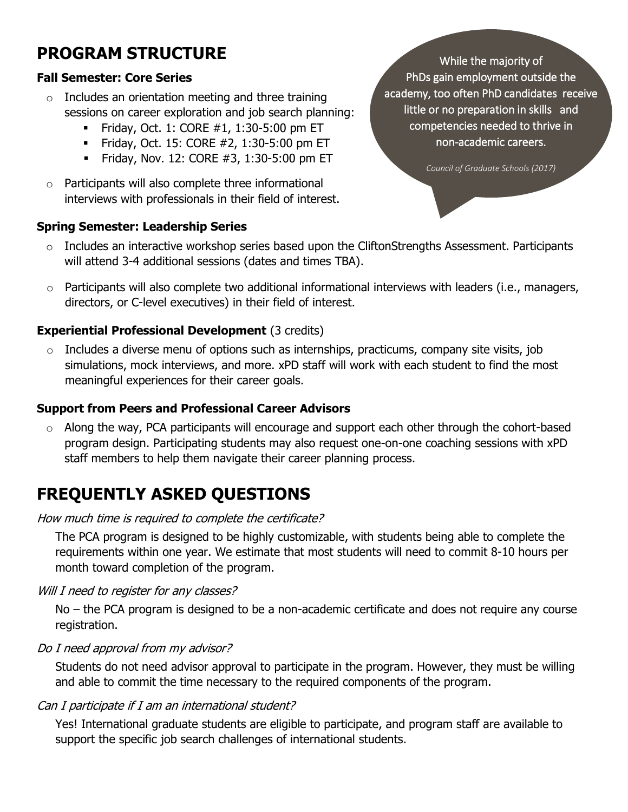# **PROGRAM STRUCTURE**

#### **Fall Semester: Core Series**

- $\circ$  Includes an orientation meeting and three training sessions on career exploration and job search planning:
	- Friday, Oct. 1: CORE  $#1, 1:30-5:00$  pm ET
	- Friday, Oct. 15: CORE  $#2$ , 1:30-5:00 pm ET
	- Friday, Nov. 12: CORE  $#3$ , 1:30-5:00 pm ET
- o Participants will also complete three informational interviews with professionals in their field of interest.

#### **Spring Semester: Leadership Series**

- $\circ$  Includes an interactive workshop series based upon the CliftonStrengths Assessment. Participants will attend 3-4 additional sessions (dates and times TBA).
- $\circ$  Participants will also complete two additional informational interviews with leaders (i.e., managers, directors, or C-level executives) in their field of interest.

#### **Experiential Professional Development** (3 credits)

 $\circ$  Includes a diverse menu of options such as internships, practicums, company site visits, job simulations, mock interviews, and more. xPD staff will work with each student to find the most meaningful experiences for their career goals.

#### **Support from Peers and Professional Career Advisors**

 $\circ$  Along the way, PCA participants will encourage and support each other through the cohort-based program design. Participating students may also request one-on-one coaching sessions with xPD staff members to help them navigate their career planning process.

# **FREQUENTLY ASKED QUESTIONS**

#### How much time is required to complete the certificate?

The PCA program is designed to be highly customizable, with students being able to complete the requirements within one year. We estimate that most students will need to commit 8-10 hours per month toward completion of the program.

#### Will I need to register for any classes?

No – the PCA program is designed to be a non-academic certificate and does not require any course registration.

#### Do I need approval from my advisor?

Students do not need advisor approval to participate in the program. However, they must be willing and able to commit the time necessary to the required components of the program.

#### Can I participate if I am an international student?

Yes! International graduate students are eligible to participate, and program staff are available to support the specific job search challenges of international students.

While the majority of PhDs gain employment outside the academy, too often PhD candidates rceive little or no preparation in skills and competencies needed to thrive in non-academic careers.

*[Council of Graduate Schools \(2017\)](https://cgsnet.org/ckfinder/userfiles/files/CGS_ProfDev_STEMGrads16_web.pdf)*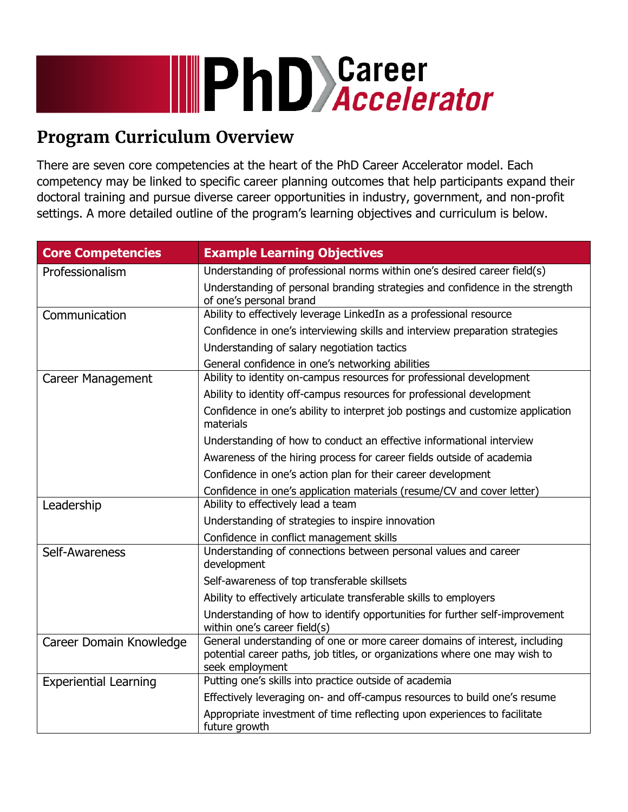# **IIIPhD** Sareer

# **Program Curriculum Overview**

There are seven core competencies at the heart of the PhD Career Accelerator model. Each competency may be linked to specific career planning outcomes that help participants expand their doctoral training and pursue diverse career opportunities in industry, government, and non-profit settings. A more detailed outline of the program's learning objectives and curriculum is below.

| <b>Core Competencies</b>     | <b>Example Learning Objectives</b>                                                                                                                                          |
|------------------------------|-----------------------------------------------------------------------------------------------------------------------------------------------------------------------------|
| Professionalism              | Understanding of professional norms within one's desired career field(s)                                                                                                    |
|                              | Understanding of personal branding strategies and confidence in the strength<br>of one's personal brand                                                                     |
| Communication                | Ability to effectively leverage LinkedIn as a professional resource                                                                                                         |
|                              | Confidence in one's interviewing skills and interview preparation strategies                                                                                                |
|                              | Understanding of salary negotiation tactics                                                                                                                                 |
|                              | General confidence in one's networking abilities                                                                                                                            |
| Career Management            | Ability to identity on-campus resources for professional development                                                                                                        |
|                              | Ability to identity off-campus resources for professional development                                                                                                       |
|                              | Confidence in one's ability to interpret job postings and customize application<br>materials                                                                                |
|                              | Understanding of how to conduct an effective informational interview                                                                                                        |
|                              | Awareness of the hiring process for career fields outside of academia                                                                                                       |
|                              | Confidence in one's action plan for their career development                                                                                                                |
|                              | Confidence in one's application materials (resume/CV and cover letter)                                                                                                      |
| Leadership                   | Ability to effectively lead a team                                                                                                                                          |
|                              | Understanding of strategies to inspire innovation                                                                                                                           |
|                              | Confidence in conflict management skills                                                                                                                                    |
| Self-Awareness               | Understanding of connections between personal values and career<br>development                                                                                              |
|                              | Self-awareness of top transferable skillsets                                                                                                                                |
|                              | Ability to effectively articulate transferable skills to employers                                                                                                          |
|                              | Understanding of how to identify opportunities for further self-improvement<br>within one's career field(s)                                                                 |
| Career Domain Knowledge      | General understanding of one or more career domains of interest, including<br>potential career paths, job titles, or organizations where one may wish to<br>seek employment |
| <b>Experiential Learning</b> | Putting one's skills into practice outside of academia                                                                                                                      |
|                              | Effectively leveraging on- and off-campus resources to build one's resume                                                                                                   |
|                              | Appropriate investment of time reflecting upon experiences to facilitate<br>future growth                                                                                   |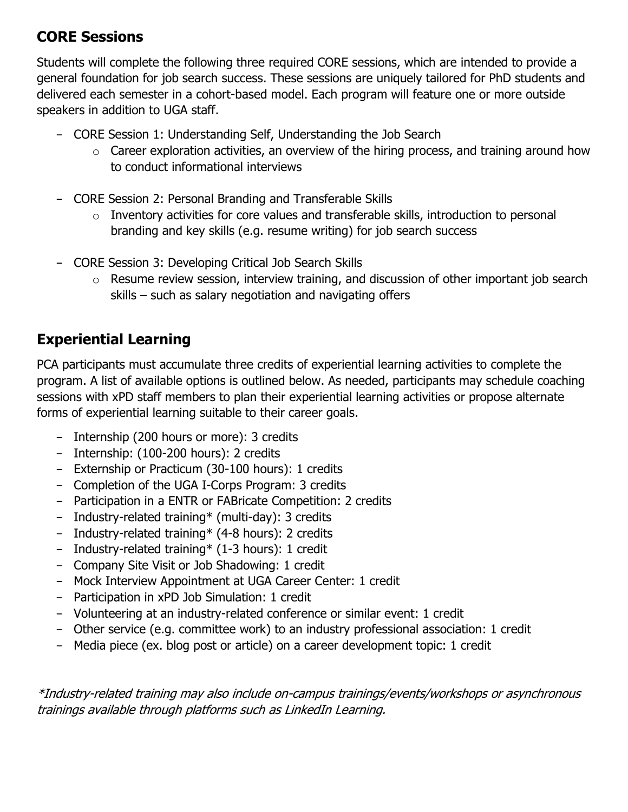### **CORE Sessions**

Students will complete the following three required CORE sessions, which are intended to provide a general foundation for job search success. These sessions are uniquely tailored for PhD students and delivered each semester in a cohort-based model. Each program will feature one or more outside speakers in addition to UGA staff.

- CORE Session 1: Understanding Self, Understanding the Job Search
	- $\circ$  Career exploration activities, an overview of the hiring process, and training around how to conduct informational interviews
- CORE Session 2: Personal Branding and Transferable Skills
	- o Inventory activities for core values and transferable skills, introduction to personal branding and key skills (e.g. resume writing) for job search success
- CORE Session 3: Developing Critical Job Search Skills
	- $\circ$  Resume review session, interview training, and discussion of other important job search skills – such as salary negotiation and navigating offers

## **Experiential Learning**

PCA participants must accumulate three credits of experiential learning activities to complete the program. A list of available options is outlined below. As needed, participants may schedule coaching sessions with xPD staff members to plan their experiential learning activities or propose alternate forms of experiential learning suitable to their career goals.

- Internship (200 hours or more): 3 credits
- Internship: (100-200 hours): 2 credits
- Externship or Practicum (30-100 hours): 1 credits
- Completion of the UGA I-Corps Program: 3 credits
- Participation in a ENTR or FABricate Competition: 2 credits
- Industry-related training\* (multi-day): 3 credits
- Industry-related training\* (4-8 hours): 2 credits
- Industry-related training\* (1-3 hours): 1 credit
- Company Site Visit or Job Shadowing: 1 credit
- Mock Interview Appointment at UGA Career Center: 1 credit
- Participation in xPD Job Simulation: 1 credit
- Volunteering at an industry-related conference or similar event: 1 credit
- Other service (e.g. committee work) to an industry professional association: 1 credit
- Media piece (ex. blog post or article) on a career development topic: 1 credit

\*Industry-related training may also include on-campus trainings/events/workshops or asynchronous trainings available through platforms such as LinkedIn Learning.